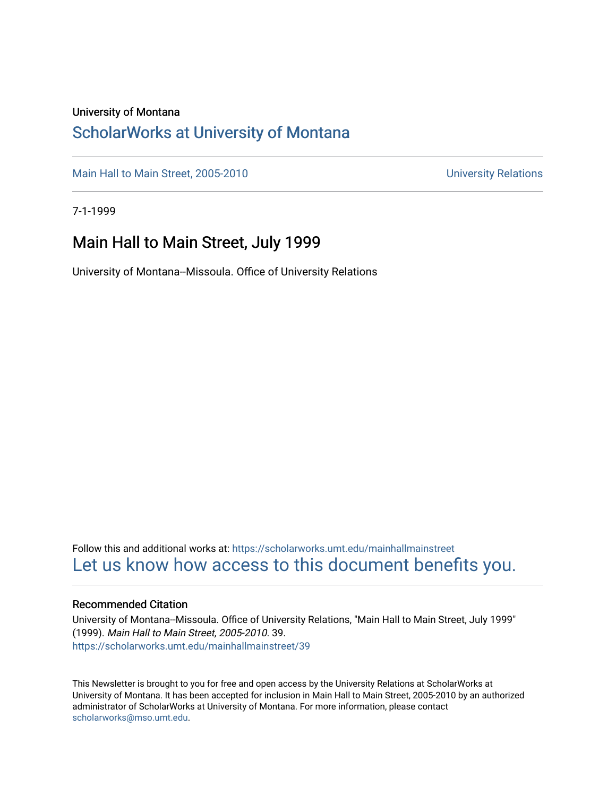#### University of Montana

## [ScholarWorks at University of Montana](https://scholarworks.umt.edu/)

[Main Hall to Main Street, 2005-2010](https://scholarworks.umt.edu/mainhallmainstreet) Main Hall to Main Street, 2005-2010

7-1-1999

## Main Hall to Main Street, July 1999

University of Montana--Missoula. Office of University Relations

Follow this and additional works at: [https://scholarworks.umt.edu/mainhallmainstreet](https://scholarworks.umt.edu/mainhallmainstreet?utm_source=scholarworks.umt.edu%2Fmainhallmainstreet%2F39&utm_medium=PDF&utm_campaign=PDFCoverPages) [Let us know how access to this document benefits you.](https://goo.gl/forms/s2rGfXOLzz71qgsB2) 

#### Recommended Citation

University of Montana--Missoula. Office of University Relations, "Main Hall to Main Street, July 1999" (1999). Main Hall to Main Street, 2005-2010. 39. [https://scholarworks.umt.edu/mainhallmainstreet/39](https://scholarworks.umt.edu/mainhallmainstreet/39?utm_source=scholarworks.umt.edu%2Fmainhallmainstreet%2F39&utm_medium=PDF&utm_campaign=PDFCoverPages) 

This Newsletter is brought to you for free and open access by the University Relations at ScholarWorks at University of Montana. It has been accepted for inclusion in Main Hall to Main Street, 2005-2010 by an authorized administrator of ScholarWorks at University of Montana. For more information, please contact [scholarworks@mso.umt.edu.](mailto:scholarworks@mso.umt.edu)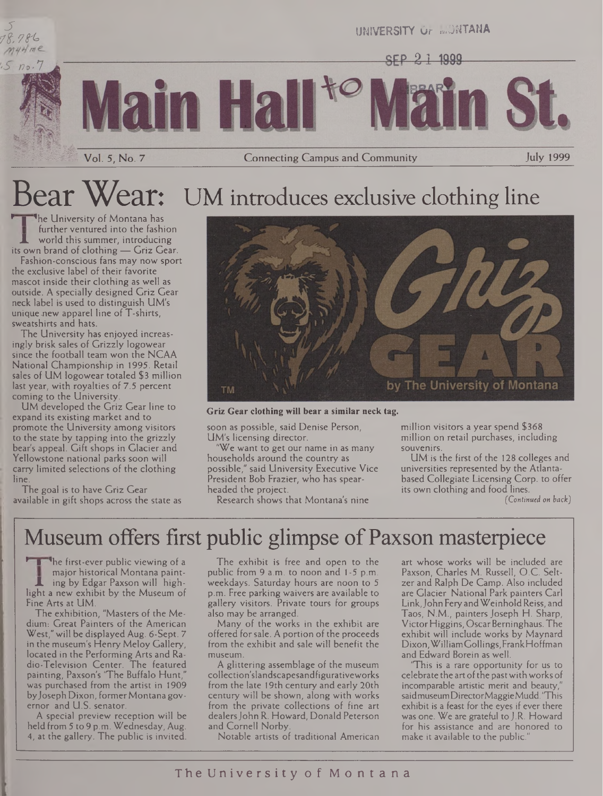

Vol. 5, No. 7 Connecting Campus and Community July 1999

# Bear Wear: UM introduces exclusive clothing line

<sup>1</sup>he University of Montana has further ventured into the fashion world this summer, introducing its own brand of clothing — Griz Gear.

Fashion-conscious fans may now sport the exclusive label of their favorite mascot inside their clothing as well as outside. A specially designed Griz Gear neck label is used to distinguish UM's unique-new apparel line of T-shirts, sweatshirts and hats.

The University has enjoyed increasingly brisk sales of Grizzly logowear since the football team won the NCAA National Championship in 1995. Retail sales of UM logowear totaled \$3 million last year, with royalties of 7.5 percent coming to the University.

UM developed the Griz Gear line to expand its existing market and to promote the University among visitors to the state by tapping into the grizzly bear's appeal. Gift shops in Glacier and Yellowstone national parks soon will carry limited selections of the clothing line.

The goal is to have Griz Gear available in gift shops across the state as



**Griz Gear clothing will bear a similar neck tag.**

soon as possible, said Denise Person, UM's licensing director.

"We want to get our name in as many households around the country as possible," said University Executive Vice President Bob Frazier, who has spearheaded the project.

Research shows that Montana's nine

million visitors a year spend \$368 million on retail purchases, including souvenirs.

UM'is the first of the 128 colleges and universities represented by the Atlantabased Collegiate Licensing Corp, to offer its own clothing and food lines.

*(Continued on back)*

## Museum offers first public glimpse of Paxson masterpiece

The first-ever public viewing of a major historical Montana painting by Edgar Paxson will highlight a new exhibit by the Museum of Fine Arts at UM.

The exhibition, "Masters of the Medium-. Great Painters of the American West," will be displayed Aug. 6-Sept. 7 in the museum's Henry Meloy Gallery, located in the Performing Arts and Radio-Television Center. The featured painting, Paxson's 'The Buffalo Hunt," was purchased from the artist in 1909 by Joseph Dixon, former Montana governor and U.S. senator.

A special preview reception will be held from 5 to 9 p.m. Wednesday, Aug. 4, at the gallery. The public is invited.

The exhibit is free and open to the public from 9 a.m. to noon and <sup>1</sup> -5 p.m. weekdays. Saturday hours are noon to 5 p.m. Free parking waivers are available to gallery visitors. Private tours for groups also may be arranged.

Many of the works in the exhibit are offered for sale. A portion of the proceeds from the exhibit and sale will benefit the museum.

A glittering assemblage of the museum collection'slandscapesandfigurativeworks from the late 19th century and early 20th century will be shown, along with works from the private collections of fine art dealers John R. Howard, Donald Peterson and Cornell Norby.

Notable artists of traditional American

art whose works will be included are Paxson, Charles M. Russell, O.C. Seltzer and Ralph De Camp. Also included are Glacier National Park painters Carl Link,John Fery andWeinholdReiss, and Taos, N.M., painters Joseph H. Sharp, Victor Higgins, OscarBerninghaus. The exhibit will include works by Maynard Dixon,WilliamGollings,FrankHoffman and Edward Borein as well.

'This is a rare opportunity for us to celebrate the art ofthe pastwithworks of incomparable artistic merit and beauty," saidmuseumDirectorMaggieMudd. "This exhibit is a feast for the eyes if ever there was one. We are grateful to J.R. Howard for his assistance and are honored to make it available to the public."